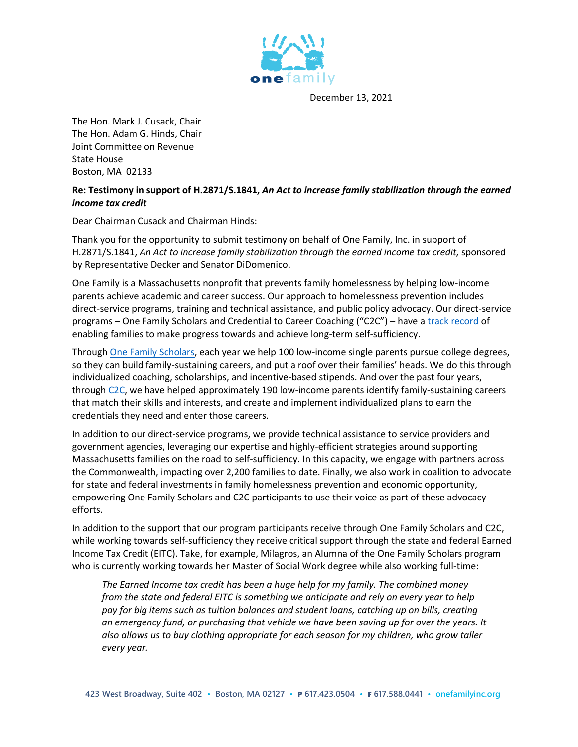

December 13, 2021

The Hon. Mark J. Cusack, Chair The Hon. Adam G. Hinds, Chair Joint Committee on Revenue State House Boston, MA 02133

## **Re: Testimony in support of H.2871/S.1841,** *An Act to increase family stabilization through the earned income tax credit*

Dear Chairman Cusack and Chairman Hinds:

Thank you for the opportunity to submit testimony on behalf of One Family, Inc. in support of H.2871/S.1841, *An Act to increase family stabilization through the earned income tax credit,* sponsored by Representative Decker and Senator DiDomenico.

One Family is a Massachusetts nonprofit that prevents family homelessness by helping low-income parents achieve academic and career success. Our approach to homelessness prevention includes direct-service programs, training and technical assistance, and public policy advocacy. Our direct-service programs – One Family Scholars and Credential to Career Coaching ("C2C") – have a [track record](https://www.onefamilyinc.org/impact) of enabling families to make progress towards and achieve long-term self-sufficiency.

Through [One Family Scholars,](https://www.onefamilyinc.org/scholars) each year we help 100 low-income single parents pursue college degrees, so they can build family-sustaining careers, and put a roof over their families' heads. We do this through individualized coaching, scholarships, and incentive-based stipends. And over the past four years, throug[h C2C,](https://www.onefamilyinc.org/c2c) we have helped approximately 190 low-income parents identify family-sustaining careers that match their skills and interests, and create and implement individualized plans to earn the credentials they need and enter those careers.

In addition to our direct-service programs, we provide technical assistance to service providers and government agencies, leveraging our expertise and highly-efficient strategies around supporting Massachusetts families on the road to self-sufficiency. In this capacity, we engage with partners across the Commonwealth, impacting over 2,200 families to date. Finally, we also work in coalition to advocate for state and federal investments in family homelessness prevention and economic opportunity, empowering One Family Scholars and C2C participants to use their voice as part of these advocacy efforts.

In addition to the support that our program participants receive through One Family Scholars and C2C, while working towards self-sufficiency they receive critical support through the state and federal Earned Income Tax Credit (EITC). Take, for example, Milagros, an Alumna of the One Family Scholars program who is currently working towards her Master of Social Work degree while also working full-time:

*The Earned Income tax credit has been a huge help for my family. The combined money from the state and federal EITC is something we anticipate and rely on every year to help pay for big items such as tuition balances and student loans, catching up on bills, creating an emergency fund, or purchasing that vehicle we have been saving up for over the years. It also allows us to buy clothing appropriate for each season for my children, who grow taller every year.*